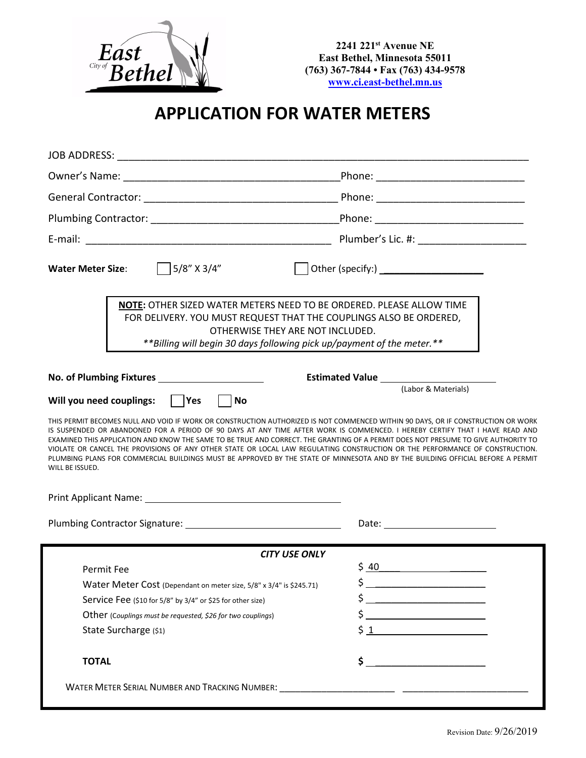

**2241 221st Avenue NE East Bethel, Minnesota 55011 (763) 367-7844 • Fax (763) 434-9578 [www.ci.east-bethel.mn.us](http://www.ci.east-bethel.mn.us/)**

## **APPLICATION FOR WATER METERS**

| 5/8" X 3/4"<br><b>Water Meter Size:</b><br>NOTE: OTHER SIZED WATER METERS NEED TO BE ORDERED. PLEASE ALLOW TIME<br>FOR DELIVERY. YOU MUST REQUEST THAT THE COUPLINGS ALSO BE ORDERED,<br>OTHERWISE THEY ARE NOT INCLUDED.<br>**Billing will begin 30 days following pick up/payment of the meter.**<br>No. of Plumbing Fixtures _______________________<br>(Labor & Materials)<br>Will you need couplings: $ $   Yes<br><b>No</b><br>WILL BE ISSUED.<br><b>CITY USE ONLY</b><br>\$40<br><u> 1989 - Jan Barbara Barbara, manazarta bashka a shekara 1980 - 1981 - 1982 - 1983 - 1984 - 1986 - 1986 - 1986 - 1986 - 1986 - 1986 - 1986 - 1986 - 1986 - 1986 - 1986 - 1986 - 1986 - 1986 - 1986 - 1986 - 1986 - 1986 - 1986</u><br><b>Permit Fee</b><br>Water Meter Cost (Dependant on meter size, 5/8" x 3/4" is \$245.71)<br>$\frac{1}{2}$<br>Service Fee (\$10 for 5/8" by 3/4" or \$25 for other size)<br>Other (Couplings must be requested, \$26 for two couplings)<br>State Surcharge (\$1)<br>\$ | <b>JOB ADDRESS:</b><br><u> 1989 - Johann Stoff, deutscher Stoff, der Stoff, der Stoff, der Stoff, der Stoff, der Stoff, der Stoff, der S</u>                                                                                                                                                                                                                                                                                                                                                                                                                                                                                                                              |                                                  |  |  |  |  |  |  |  |
|-------------------------------------------------------------------------------------------------------------------------------------------------------------------------------------------------------------------------------------------------------------------------------------------------------------------------------------------------------------------------------------------------------------------------------------------------------------------------------------------------------------------------------------------------------------------------------------------------------------------------------------------------------------------------------------------------------------------------------------------------------------------------------------------------------------------------------------------------------------------------------------------------------------------------------------------------------------------------------------------------------|---------------------------------------------------------------------------------------------------------------------------------------------------------------------------------------------------------------------------------------------------------------------------------------------------------------------------------------------------------------------------------------------------------------------------------------------------------------------------------------------------------------------------------------------------------------------------------------------------------------------------------------------------------------------------|--------------------------------------------------|--|--|--|--|--|--|--|
|                                                                                                                                                                                                                                                                                                                                                                                                                                                                                                                                                                                                                                                                                                                                                                                                                                                                                                                                                                                                       |                                                                                                                                                                                                                                                                                                                                                                                                                                                                                                                                                                                                                                                                           |                                                  |  |  |  |  |  |  |  |
|                                                                                                                                                                                                                                                                                                                                                                                                                                                                                                                                                                                                                                                                                                                                                                                                                                                                                                                                                                                                       |                                                                                                                                                                                                                                                                                                                                                                                                                                                                                                                                                                                                                                                                           |                                                  |  |  |  |  |  |  |  |
|                                                                                                                                                                                                                                                                                                                                                                                                                                                                                                                                                                                                                                                                                                                                                                                                                                                                                                                                                                                                       |                                                                                                                                                                                                                                                                                                                                                                                                                                                                                                                                                                                                                                                                           |                                                  |  |  |  |  |  |  |  |
|                                                                                                                                                                                                                                                                                                                                                                                                                                                                                                                                                                                                                                                                                                                                                                                                                                                                                                                                                                                                       |                                                                                                                                                                                                                                                                                                                                                                                                                                                                                                                                                                                                                                                                           |                                                  |  |  |  |  |  |  |  |
|                                                                                                                                                                                                                                                                                                                                                                                                                                                                                                                                                                                                                                                                                                                                                                                                                                                                                                                                                                                                       |                                                                                                                                                                                                                                                                                                                                                                                                                                                                                                                                                                                                                                                                           |                                                  |  |  |  |  |  |  |  |
|                                                                                                                                                                                                                                                                                                                                                                                                                                                                                                                                                                                                                                                                                                                                                                                                                                                                                                                                                                                                       |                                                                                                                                                                                                                                                                                                                                                                                                                                                                                                                                                                                                                                                                           |                                                  |  |  |  |  |  |  |  |
|                                                                                                                                                                                                                                                                                                                                                                                                                                                                                                                                                                                                                                                                                                                                                                                                                                                                                                                                                                                                       |                                                                                                                                                                                                                                                                                                                                                                                                                                                                                                                                                                                                                                                                           |                                                  |  |  |  |  |  |  |  |
|                                                                                                                                                                                                                                                                                                                                                                                                                                                                                                                                                                                                                                                                                                                                                                                                                                                                                                                                                                                                       | THIS PERMIT BECOMES NULL AND VOID IF WORK OR CONSTRUCTION AUTHORIZED IS NOT COMMENCED WITHIN 90 DAYS. OR IF CONSTRUCTION OR WORK<br>IS SUSPENDED OR ABANDONED FOR A PERIOD OF 90 DAYS AT ANY TIME AFTER WORK IS COMMENCED. I HEREBY CERTIFY THAT I HAVE READ AND<br>EXAMINED THIS APPLICATION AND KNOW THE SAME TO BE TRUE AND CORRECT. THE GRANTING OF A PERMIT DOES NOT PRESUME TO GIVE AUTHORITY TO<br>VIOLATE OR CANCEL THE PROVISIONS OF ANY OTHER STATE OR LOCAL LAW REGULATING CONSTRUCTION OR THE PERFORMANCE OF CONSTRUCTION.<br>PLUMBING PLANS FOR COMMERCIAL BUILDINGS MUST BE APPROVED BY THE STATE OF MINNESOTA AND BY THE BUILDING OFFICIAL BEFORE A PERMIT |                                                  |  |  |  |  |  |  |  |
|                                                                                                                                                                                                                                                                                                                                                                                                                                                                                                                                                                                                                                                                                                                                                                                                                                                                                                                                                                                                       |                                                                                                                                                                                                                                                                                                                                                                                                                                                                                                                                                                                                                                                                           |                                                  |  |  |  |  |  |  |  |
|                                                                                                                                                                                                                                                                                                                                                                                                                                                                                                                                                                                                                                                                                                                                                                                                                                                                                                                                                                                                       |                                                                                                                                                                                                                                                                                                                                                                                                                                                                                                                                                                                                                                                                           |                                                  |  |  |  |  |  |  |  |
|                                                                                                                                                                                                                                                                                                                                                                                                                                                                                                                                                                                                                                                                                                                                                                                                                                                                                                                                                                                                       |                                                                                                                                                                                                                                                                                                                                                                                                                                                                                                                                                                                                                                                                           |                                                  |  |  |  |  |  |  |  |
|                                                                                                                                                                                                                                                                                                                                                                                                                                                                                                                                                                                                                                                                                                                                                                                                                                                                                                                                                                                                       |                                                                                                                                                                                                                                                                                                                                                                                                                                                                                                                                                                                                                                                                           |                                                  |  |  |  |  |  |  |  |
|                                                                                                                                                                                                                                                                                                                                                                                                                                                                                                                                                                                                                                                                                                                                                                                                                                                                                                                                                                                                       |                                                                                                                                                                                                                                                                                                                                                                                                                                                                                                                                                                                                                                                                           |                                                  |  |  |  |  |  |  |  |
|                                                                                                                                                                                                                                                                                                                                                                                                                                                                                                                                                                                                                                                                                                                                                                                                                                                                                                                                                                                                       |                                                                                                                                                                                                                                                                                                                                                                                                                                                                                                                                                                                                                                                                           |                                                  |  |  |  |  |  |  |  |
|                                                                                                                                                                                                                                                                                                                                                                                                                                                                                                                                                                                                                                                                                                                                                                                                                                                                                                                                                                                                       |                                                                                                                                                                                                                                                                                                                                                                                                                                                                                                                                                                                                                                                                           |                                                  |  |  |  |  |  |  |  |
|                                                                                                                                                                                                                                                                                                                                                                                                                                                                                                                                                                                                                                                                                                                                                                                                                                                                                                                                                                                                       |                                                                                                                                                                                                                                                                                                                                                                                                                                                                                                                                                                                                                                                                           |                                                  |  |  |  |  |  |  |  |
|                                                                                                                                                                                                                                                                                                                                                                                                                                                                                                                                                                                                                                                                                                                                                                                                                                                                                                                                                                                                       | <b>TOTAL</b>                                                                                                                                                                                                                                                                                                                                                                                                                                                                                                                                                                                                                                                              | <u> 1980 - Jan Barbara Barbara, prima popula</u> |  |  |  |  |  |  |  |
|                                                                                                                                                                                                                                                                                                                                                                                                                                                                                                                                                                                                                                                                                                                                                                                                                                                                                                                                                                                                       |                                                                                                                                                                                                                                                                                                                                                                                                                                                                                                                                                                                                                                                                           |                                                  |  |  |  |  |  |  |  |